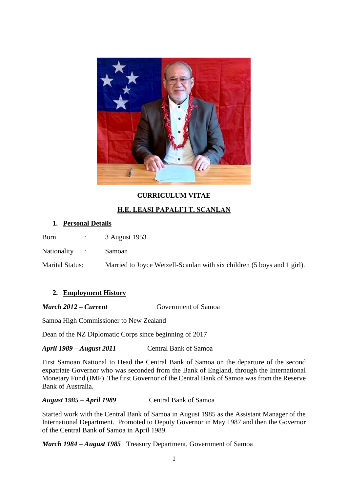

# **CURRICULUM VITAE**

## **H.E. LEASI PAPALI'I T. SCANLAN**

### **1. Personal Details**

Born : 3 August 1953

Nationality : Samoan

Marital Status: Married to Joyce Wetzell-Scanlan with six children (5 boys and 1 girl).

### **2. Employment History**

*March 2012 – Current* Government of Samoa

Samoa High Commissioner to New Zealand

Dean of the NZ Diplomatic Corps since beginning of 2017

*April 1989 – August 2011* Central Bank of Samoa

First Samoan National to Head the Central Bank of Samoa on the departure of the second expatriate Governor who was seconded from the Bank of England, through the International Monetary Fund (IMF). The first Governor of the Central Bank of Samoa was from the Reserve Bank of Australia.

*August 1985 – April 1989* Central Bank of Samoa

Started work with the Central Bank of Samoa in August 1985 as the Assistant Manager of the International Department. Promoted to Deputy Governor in May 1987 and then the Governor of the Central Bank of Samoa in April 1989.

*March 1984 – August 1985* Treasury Department, Government of Samoa